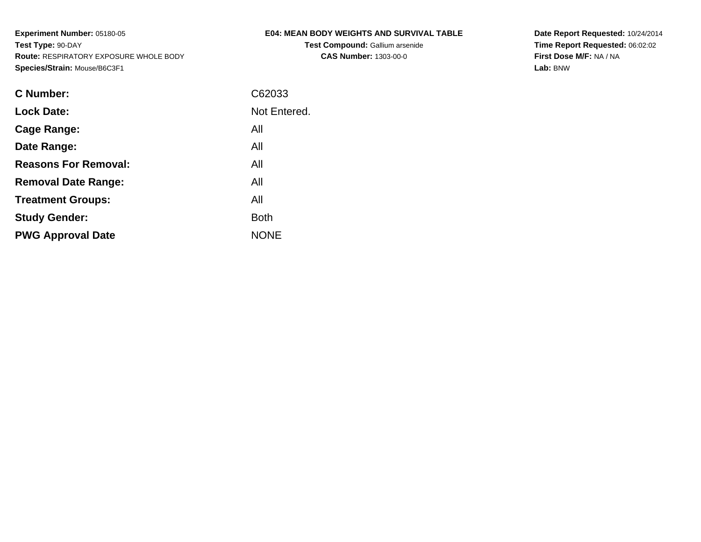**Test Compound:** Gallium arsenide**CAS Number:** 1303-00-0

**Date Report Requested:** 10/24/2014 **Time Report Requested:** 06:02:02**First Dose M/F:** NA / NA**Lab:** BNW

| C Number:                   | C62033       |
|-----------------------------|--------------|
| <b>Lock Date:</b>           | Not Entered. |
| Cage Range:                 | All          |
| Date Range:                 | All          |
| <b>Reasons For Removal:</b> | All          |
| <b>Removal Date Range:</b>  | All          |
| <b>Treatment Groups:</b>    | All          |
| <b>Study Gender:</b>        | <b>Both</b>  |
| <b>PWG Approval Date</b>    | <b>NONE</b>  |
|                             |              |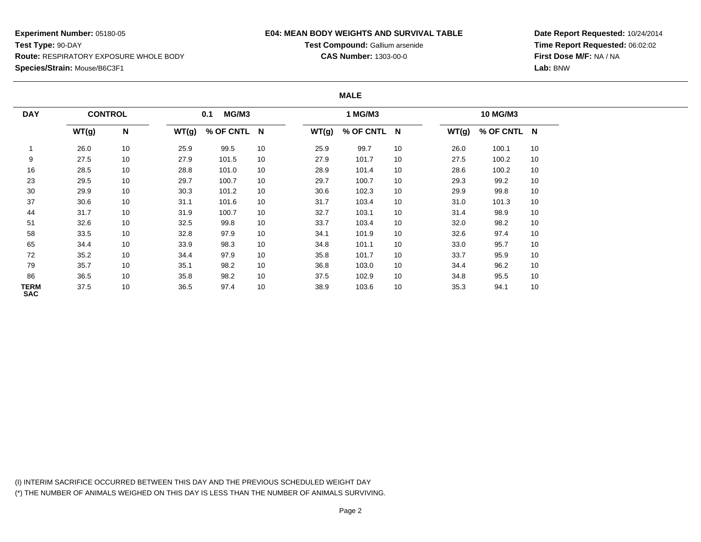## **E04: MEAN BODY WEIGHTS AND SURVIVAL TABLE**

**Test Compound:** Gallium arsenide**CAS Number:** 1303-00-0

**Date Report Requested:** 10/24/2014**Time Report Requested:** 06:02:02**First Dose M/F:** NA / NA**Lab:** BNW

#### **MALE**

| <b>DAY</b>         | <b>CONTROL</b> |    |       | MG/M3<br>0.1 |    |       | 1 MG/M3     |    |       | 10 MG/M3    |    |
|--------------------|----------------|----|-------|--------------|----|-------|-------------|----|-------|-------------|----|
|                    | WT(g)          | N  | WT(g) | % OF CNTL N  |    | WT(g) | % OF CNTL N |    | WT(g) | % OF CNTL N |    |
|                    | 26.0           | 10 | 25.9  | 99.5         | 10 | 25.9  | 99.7        | 10 | 26.0  | 100.1       | 10 |
| 9                  | 27.5           | 10 | 27.9  | 101.5        | 10 | 27.9  | 101.7       | 10 | 27.5  | 100.2       | 10 |
| 16                 | 28.5           | 10 | 28.8  | 101.0        | 10 | 28.9  | 101.4       | 10 | 28.6  | 100.2       | 10 |
| 23                 | 29.5           | 10 | 29.7  | 100.7        | 10 | 29.7  | 100.7       | 10 | 29.3  | 99.2        | 10 |
| 30                 | 29.9           | 10 | 30.3  | 101.2        | 10 | 30.6  | 102.3       | 10 | 29.9  | 99.8        | 10 |
| 37                 | 30.6           | 10 | 31.1  | 101.6        | 10 | 31.7  | 103.4       | 10 | 31.0  | 101.3       | 10 |
| 44                 | 31.7           | 10 | 31.9  | 100.7        | 10 | 32.7  | 103.1       | 10 | 31.4  | 98.9        | 10 |
| 51                 | 32.6           | 10 | 32.5  | 99.8         | 10 | 33.7  | 103.4       | 10 | 32.0  | 98.2        | 10 |
| 58                 | 33.5           | 10 | 32.8  | 97.9         | 10 | 34.1  | 101.9       | 10 | 32.6  | 97.4        | 10 |
| 65                 | 34.4           | 10 | 33.9  | 98.3         | 10 | 34.8  | 101.1       | 10 | 33.0  | 95.7        | 10 |
| 72                 | 35.2           | 10 | 34.4  | 97.9         | 10 | 35.8  | 101.7       | 10 | 33.7  | 95.9        | 10 |
| 79                 | 35.7           | 10 | 35.1  | 98.2         | 10 | 36.8  | 103.0       | 10 | 34.4  | 96.2        | 10 |
| 86                 | 36.5           | 10 | 35.8  | 98.2         | 10 | 37.5  | 102.9       | 10 | 34.8  | 95.5        | 10 |
| TERM<br><b>SAC</b> | 37.5           | 10 | 36.5  | 97.4         | 10 | 38.9  | 103.6       | 10 | 35.3  | 94.1        | 10 |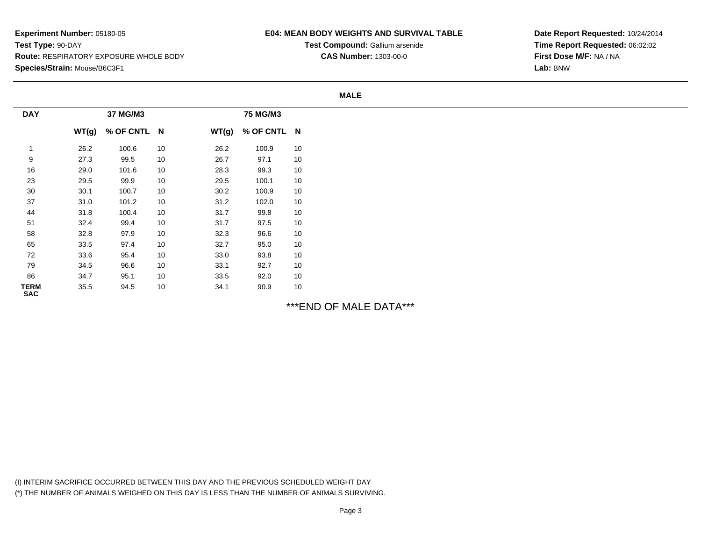## **E04: MEAN BODY WEIGHTS AND SURVIVAL TABLE**

**Test Compound:** Gallium arsenide**CAS Number:** 1303-00-0

**Date Report Requested:** 10/24/2014**Time Report Requested:** 06:02:02**First Dose M/F:** NA / NA**Lab:** BNW

#### **MALE**

| <b>DAY</b>                | 37 MG/M3 |             |    |       | 75 MG/M3    |    |  |
|---------------------------|----------|-------------|----|-------|-------------|----|--|
|                           | WT(g)    | % OF CNTL N |    | WT(g) | % OF CNTL N |    |  |
|                           | 26.2     | 100.6       | 10 | 26.2  | 100.9       | 10 |  |
| 9                         | 27.3     | 99.5        | 10 | 26.7  | 97.1        | 10 |  |
| 16                        | 29.0     | 101.6       | 10 | 28.3  | 99.3        | 10 |  |
| 23                        | 29.5     | 99.9        | 10 | 29.5  | 100.1       | 10 |  |
| 30                        | 30.1     | 100.7       | 10 | 30.2  | 100.9       | 10 |  |
| 37                        | 31.0     | 101.2       | 10 | 31.2  | 102.0       | 10 |  |
| 44                        | 31.8     | 100.4       | 10 | 31.7  | 99.8        | 10 |  |
| 51                        | 32.4     | 99.4        | 10 | 31.7  | 97.5        | 10 |  |
| 58                        | 32.8     | 97.9        | 10 | 32.3  | 96.6        | 10 |  |
| 65                        | 33.5     | 97.4        | 10 | 32.7  | 95.0        | 10 |  |
| 72                        | 33.6     | 95.4        | 10 | 33.0  | 93.8        | 10 |  |
| 79                        | 34.5     | 96.6        | 10 | 33.1  | 92.7        | 10 |  |
| 86                        | 34.7     | 95.1        | 10 | 33.5  | 92.0        | 10 |  |
| <b>TERM</b><br><b>SAC</b> | 35.5     | 94.5        | 10 | 34.1  | 90.9        | 10 |  |

\*\*\*END OF MALE DATA\*\*\*

(I) INTERIM SACRIFICE OCCURRED BETWEEN THIS DAY AND THE PREVIOUS SCHEDULED WEIGHT DAY(\*) THE NUMBER OF ANIMALS WEIGHED ON THIS DAY IS LESS THAN THE NUMBER OF ANIMALS SURVIVING.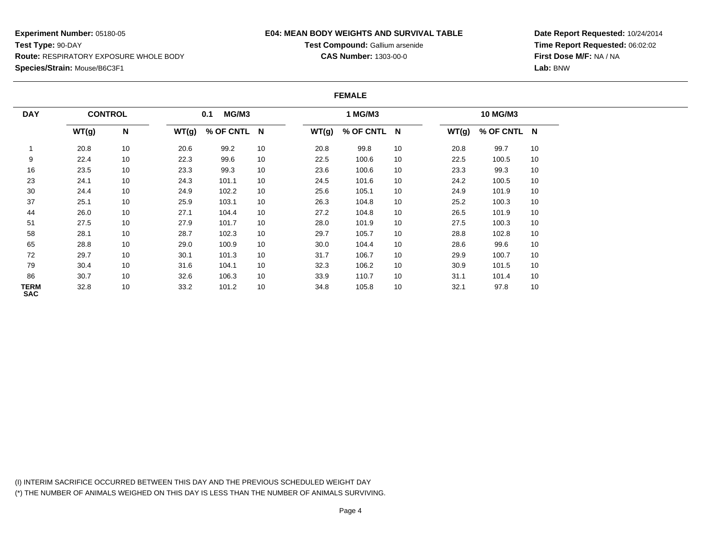## **E04: MEAN BODY WEIGHTS AND SURVIVAL TABLE**

**Test Compound:** Gallium arsenide**CAS Number:** 1303-00-0

**Date Report Requested:** 10/24/2014**Time Report Requested:** 06:02:02**First Dose M/F:** NA / NA**Lab:** BNW

#### **FEMALE**

| <b>DAY</b>         | <b>CONTROL</b> |    |       | MG/M3<br>0.1 |    |       | 1 MG/M3     |    |       | 10 MG/M3    |    |
|--------------------|----------------|----|-------|--------------|----|-------|-------------|----|-------|-------------|----|
|                    | WT(g)          | N  | WT(g) | % OF CNTL N  |    | WT(g) | % OF CNTL N |    | WT(g) | % OF CNTL N |    |
|                    | 20.8           | 10 | 20.6  | 99.2         | 10 | 20.8  | 99.8        | 10 | 20.8  | 99.7        | 10 |
| 9                  | 22.4           | 10 | 22.3  | 99.6         | 10 | 22.5  | 100.6       | 10 | 22.5  | 100.5       | 10 |
| 16                 | 23.5           | 10 | 23.3  | 99.3         | 10 | 23.6  | 100.6       | 10 | 23.3  | 99.3        | 10 |
| 23                 | 24.1           | 10 | 24.3  | 101.1        | 10 | 24.5  | 101.6       | 10 | 24.2  | 100.5       | 10 |
| 30                 | 24.4           | 10 | 24.9  | 102.2        | 10 | 25.6  | 105.1       | 10 | 24.9  | 101.9       | 10 |
| 37                 | 25.1           | 10 | 25.9  | 103.1        | 10 | 26.3  | 104.8       | 10 | 25.2  | 100.3       | 10 |
| 44                 | 26.0           | 10 | 27.1  | 104.4        | 10 | 27.2  | 104.8       | 10 | 26.5  | 101.9       | 10 |
| 51                 | 27.5           | 10 | 27.9  | 101.7        | 10 | 28.0  | 101.9       | 10 | 27.5  | 100.3       | 10 |
| 58                 | 28.1           | 10 | 28.7  | 102.3        | 10 | 29.7  | 105.7       | 10 | 28.8  | 102.8       | 10 |
| 65                 | 28.8           | 10 | 29.0  | 100.9        | 10 | 30.0  | 104.4       | 10 | 28.6  | 99.6        | 10 |
| 72                 | 29.7           | 10 | 30.1  | 101.3        | 10 | 31.7  | 106.7       | 10 | 29.9  | 100.7       | 10 |
| 79                 | 30.4           | 10 | 31.6  | 104.1        | 10 | 32.3  | 106.2       | 10 | 30.9  | 101.5       | 10 |
| 86                 | 30.7           | 10 | 32.6  | 106.3        | 10 | 33.9  | 110.7       | 10 | 31.1  | 101.4       | 10 |
| TERM<br><b>SAC</b> | 32.8           | 10 | 33.2  | 101.2        | 10 | 34.8  | 105.8       | 10 | 32.1  | 97.8        | 10 |

(I) INTERIM SACRIFICE OCCURRED BETWEEN THIS DAY AND THE PREVIOUS SCHEDULED WEIGHT DAY(\*) THE NUMBER OF ANIMALS WEIGHED ON THIS DAY IS LESS THAN THE NUMBER OF ANIMALS SURVIVING.